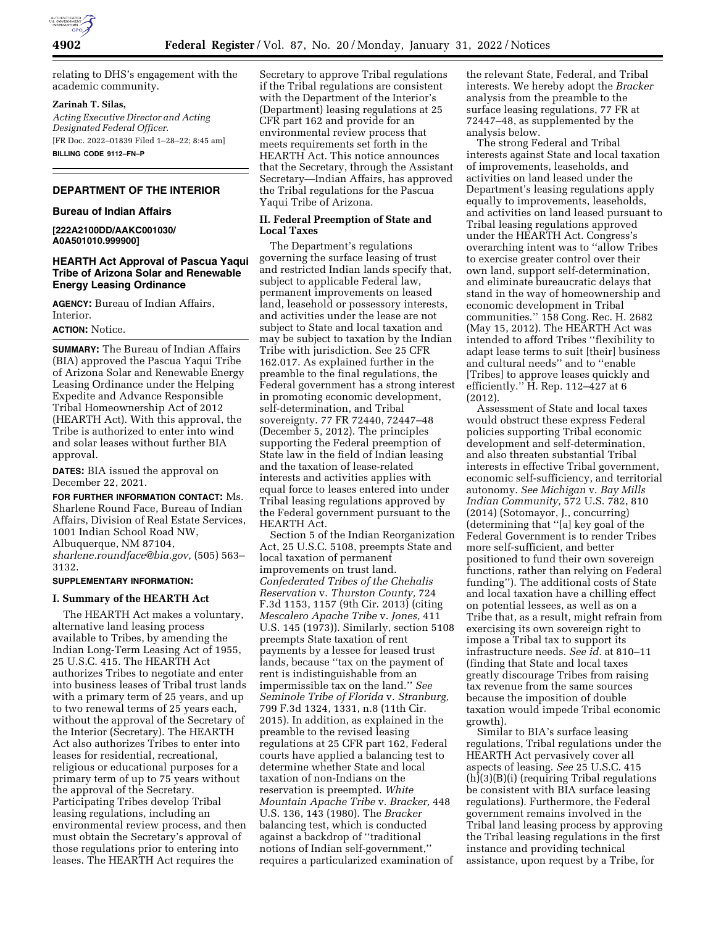

relating to DHS's engagement with the academic community.

#### **Zarinah T. Silas,**

*Acting Executive Director and Acting Designated Federal Officer.*  [FR Doc. 2022–01839 Filed 1–28–22; 8:45 am]

**BILLING CODE 9112–FN–P** 

### **DEPARTMENT OF THE INTERIOR**

#### **Bureau of Indian Affairs**

**[222A2100DD/AAKC001030/ A0A501010.999900]** 

# **HEARTH Act Approval of Pascua Yaqui Tribe of Arizona Solar and Renewable Energy Leasing Ordinance**

**AGENCY:** Bureau of Indian Affairs, Interior.

### **ACTION:** Notice.

**SUMMARY:** The Bureau of Indian Affairs (BIA) approved the Pascua Yaqui Tribe of Arizona Solar and Renewable Energy Leasing Ordinance under the Helping Expedite and Advance Responsible Tribal Homeownership Act of 2012 (HEARTH Act). With this approval, the Tribe is authorized to enter into wind and solar leases without further BIA approval.

**DATES:** BIA issued the approval on December 22, 2021.

**FOR FURTHER INFORMATION CONTACT:** Ms. Sharlene Round Face, Bureau of Indian Affairs, Division of Real Estate Services, 1001 Indian School Road NW, Albuquerque, NM 87104, *[sharlene.roundface@bia.gov,](mailto:sharlene.roundface@bia.gov)* (505) 563– 3132.

## **SUPPLEMENTARY INFORMATION:**

### **I. Summary of the HEARTH Act**

The HEARTH Act makes a voluntary, alternative land leasing process available to Tribes, by amending the Indian Long-Term Leasing Act of 1955, 25 U.S.C. 415. The HEARTH Act authorizes Tribes to negotiate and enter into business leases of Tribal trust lands with a primary term of 25 years, and up to two renewal terms of 25 years each, without the approval of the Secretary of the Interior (Secretary). The HEARTH Act also authorizes Tribes to enter into leases for residential, recreational, religious or educational purposes for a primary term of up to 75 years without the approval of the Secretary. Participating Tribes develop Tribal leasing regulations, including an environmental review process, and then must obtain the Secretary's approval of those regulations prior to entering into leases. The HEARTH Act requires the

Secretary to approve Tribal regulations if the Tribal regulations are consistent with the Department of the Interior's (Department) leasing regulations at 25 CFR part 162 and provide for an environmental review process that meets requirements set forth in the HEARTH Act. This notice announces that the Secretary, through the Assistant Secretary—Indian Affairs, has approved the Tribal regulations for the Pascua Yaqui Tribe of Arizona.

### **II. Federal Preemption of State and Local Taxes**

The Department's regulations governing the surface leasing of trust and restricted Indian lands specify that, subject to applicable Federal law, permanent improvements on leased land, leasehold or possessory interests, and activities under the lease are not subject to State and local taxation and may be subject to taxation by the Indian Tribe with jurisdiction. See 25 CFR 162.017. As explained further in the preamble to the final regulations, the Federal government has a strong interest in promoting economic development, self-determination, and Tribal sovereignty. 77 FR 72440, 72447–48 (December 5, 2012). The principles supporting the Federal preemption of State law in the field of Indian leasing and the taxation of lease-related interests and activities applies with equal force to leases entered into under Tribal leasing regulations approved by the Federal government pursuant to the HEARTH Act.

Section 5 of the Indian Reorganization Act, 25 U.S.C. 5108, preempts State and local taxation of permanent improvements on trust land. *Confederated Tribes of the Chehalis Reservation* v. *Thurston County,* 724 F.3d 1153, 1157 (9th Cir. 2013) (citing *Mescalero Apache Tribe* v. *Jones,* 411 U.S. 145 (1973)). Similarly, section 5108 preempts State taxation of rent payments by a lessee for leased trust lands, because ''tax on the payment of rent is indistinguishable from an impermissible tax on the land.'' *See Seminole Tribe of Florida* v. *Stranburg,*  799 F.3d 1324, 1331, n.8 (11th Cir. 2015). In addition, as explained in the preamble to the revised leasing regulations at 25 CFR part 162, Federal courts have applied a balancing test to determine whether State and local taxation of non-Indians on the reservation is preempted. *White Mountain Apache Tribe* v. *Bracker,* 448 U.S. 136, 143 (1980). The *Bracker*  balancing test, which is conducted against a backdrop of ''traditional notions of Indian self-government,'' requires a particularized examination of

the relevant State, Federal, and Tribal interests. We hereby adopt the *Bracker*  analysis from the preamble to the surface leasing regulations, 77 FR at 72447–48, as supplemented by the analysis below.

The strong Federal and Tribal interests against State and local taxation of improvements, leaseholds, and activities on land leased under the Department's leasing regulations apply equally to improvements, leaseholds, and activities on land leased pursuant to Tribal leasing regulations approved under the HEARTH Act. Congress's overarching intent was to ''allow Tribes to exercise greater control over their own land, support self-determination, and eliminate bureaucratic delays that stand in the way of homeownership and economic development in Tribal communities.'' 158 Cong. Rec. H. 2682 (May 15, 2012). The HEARTH Act was intended to afford Tribes ''flexibility to adapt lease terms to suit [their] business and cultural needs'' and to ''enable [Tribes] to approve leases quickly and efficiently.'' H. Rep. 112–427 at 6 (2012).

Assessment of State and local taxes would obstruct these express Federal policies supporting Tribal economic development and self-determination, and also threaten substantial Tribal interests in effective Tribal government, economic self-sufficiency, and territorial autonomy. *See Michigan* v. *Bay Mills Indian Community,* 572 U.S. 782, 810 (2014) (Sotomayor, J., concurring) (determining that ''[a] key goal of the Federal Government is to render Tribes more self-sufficient, and better positioned to fund their own sovereign functions, rather than relying on Federal funding''). The additional costs of State and local taxation have a chilling effect on potential lessees, as well as on a Tribe that, as a result, might refrain from exercising its own sovereign right to impose a Tribal tax to support its infrastructure needs. *See id.* at 810–11 (finding that State and local taxes greatly discourage Tribes from raising tax revenue from the same sources because the imposition of double taxation would impede Tribal economic growth).

Similar to BIA's surface leasing regulations, Tribal regulations under the HEARTH Act pervasively cover all aspects of leasing. *See* 25 U.S.C. 415 (h)(3)(B)(i) (requiring Tribal regulations be consistent with BIA surface leasing regulations). Furthermore, the Federal government remains involved in the Tribal land leasing process by approving the Tribal leasing regulations in the first instance and providing technical assistance, upon request by a Tribe, for